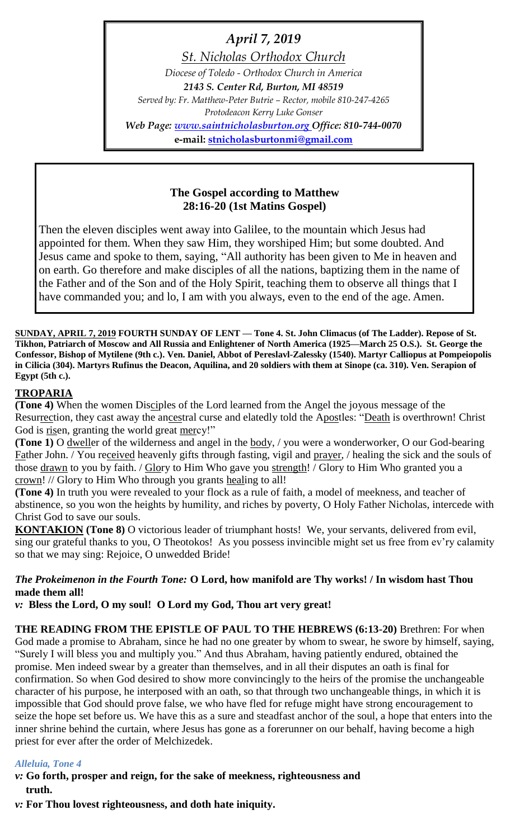## *April 7, 2019*

*St. Nicholas Orthodox Church*

*Diocese of Toledo - Orthodox Church in America 2143 S. Center Rd, Burton, MI 48519 Served by: Fr. Matthew-Peter Butrie – Rector, mobile 810-247-4265 Protodeacon Kerry Luke Gonser Web Page: [www.saintnicholasburton.org](http://www.saintnicholasburton.org/) Office: 810-744-0070* **e-mail: [stnicholasburtonmi@gmail.com](mailto:stnicholasburtonmi@gmail.com)**

## **The Gospel according to Matthew 28:16-20 (1st Matins Gospel)**

Then the eleven disciples went away into Galilee, to the mountain which Jesus had appointed for them. When they saw Him, they worshiped Him; but some doubted. And Jesus came and spoke to them, saying, "All authority has been given to Me in heaven and on earth. Go therefore and make disciples of all the nations, baptizing them in the name of the Father and of the Son and of the Holy Spirit, teaching them to observe all things that I have commanded you; and lo, I am with you always, even to the end of the age. Amen.

**SUNDAY, APRIL 7, 2019 FOURTH SUNDAY OF LENT — Tone 4. St. John Climacus (of The Ladder). Repose of St. Tikhon, Patriarch of Moscow and All Russia and Enlightener of North America (1925—March 25 O.S.). St. George the Confessor, Bishop of Mytilene (9th c.). Ven. Daniel, Abbot of Pereslavl-Zalessky (1540). Martyr Calliopus at Pompeiopolis in Cilicia (304). Martyrs Rufinus the Deacon, Aquilina, and 20 soldiers with them at Sinope (ca. 310). Ven. Serapion of Egypt (5th c.).**

## **TROPARIA**

**(Tone 4)** When the women Disciples of the Lord learned from the Angel the joyous message of the Resurrection, they cast away the ancestral curse and elatedly told the Apostles: "Death is overthrown! Christ God is risen, granting the world great mercy!"

**(Tone 1)** O dweller of the wilderness and angel in the body, / you were a wonderworker, O our God-bearing Father John. / You received heavenly gifts through fasting, vigil and prayer, / healing the sick and the souls of those drawn to you by faith. / Glory to Him Who gave you strength! / Glory to Him Who granted you a crown! // Glory to Him Who through you grants healing to all!

**(Tone 4)** In truth you were revealed to your flock as a rule of faith, a model of meekness, and teacher of abstinence, so you won the heights by humility, and riches by poverty, O Holy Father Nicholas, intercede with Christ God to save our souls.

**KONTAKION (Tone 8)** O victorious leader of triumphant hosts! We, your servants, delivered from evil, sing our grateful thanks to you, O Theotokos! As you possess invincible might set us free from ev'ry calamity so that we may sing: Rejoice, O unwedded Bride!

### *The Prokeimenon in the Fourth Tone:* **O Lord, how manifold are Thy works! / In wisdom hast Thou made them all!**

*v:* **Bless the Lord, O my soul! O Lord my God, Thou art very great!** 

**THE READING FROM THE EPISTLE OF PAUL TO THE HEBREWS (6:13-20)** Brethren: For when God made a promise to Abraham, since he had no one greater by whom to swear, he swore by himself, saying, "Surely I will bless you and multiply you." And thus Abraham, having patiently endured, obtained the promise. Men indeed swear by a greater than themselves, and in all their disputes an oath is final for confirmation. So when God desired to show more convincingly to the heirs of the promise the unchangeable character of his purpose, he interposed with an oath, so that through two unchangeable things, in which it is impossible that God should prove false, we who have fled for refuge might have strong encouragement to seize the hope set before us. We have this as a sure and steadfast anchor of the soul, a hope that enters into the inner shrine behind the curtain, where Jesus has gone as a forerunner on our behalf, having become a high priest for ever after the order of Melchizedek.

### *Alleluia, Tone 4*

- *v:* **Go forth, prosper and reign, for the sake of meekness, righteousness and truth.**
- *v:* **For Thou lovest righteousness, and doth hate iniquity.**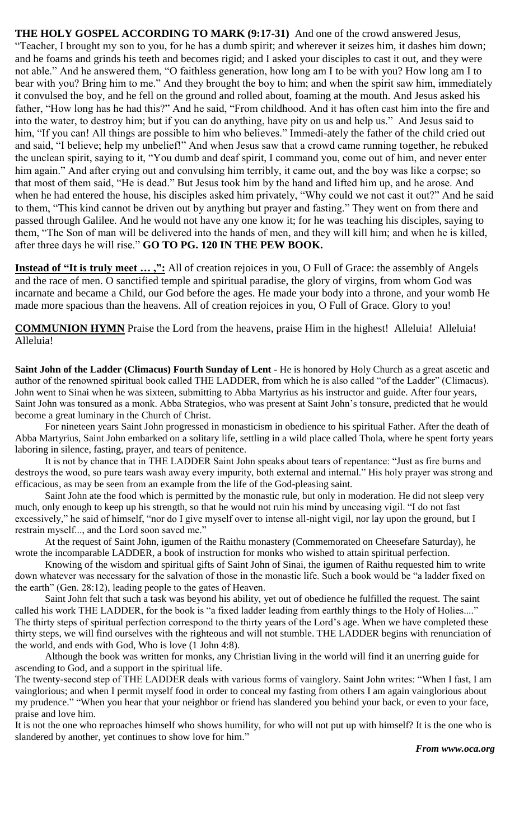**THE HOLY GOSPEL ACCORDING TO MARK (9:17-31)** And one of the crowd answered Jesus, "Teacher, I brought my son to you, for he has a dumb spirit; and wherever it seizes him, it dashes him down; and he foams and grinds his teeth and becomes rigid; and I asked your disciples to cast it out, and they were not able." And he answered them, "O faithless generation, how long am I to be with you? How long am I to bear with you? Bring him to me." And they brought the boy to him; and when the spirit saw him, immediately it convulsed the boy, and he fell on the ground and rolled about, foaming at the mouth. And Jesus asked his father, "How long has he had this?" And he said, "From childhood. And it has often cast him into the fire and into the water, to destroy him; but if you can do anything, have pity on us and help us." And Jesus said to him, "If you can! All things are possible to him who believes." Immedi-ately the father of the child cried out and said, "I believe; help my unbelief!" And when Jesus saw that a crowd came running together, he rebuked the unclean spirit, saying to it, "You dumb and deaf spirit, I command you, come out of him, and never enter him again." And after crying out and convulsing him terribly, it came out, and the boy was like a corpse; so that most of them said, "He is dead." But Jesus took him by the hand and lifted him up, and he arose. And when he had entered the house, his disciples asked him privately, "Why could we not cast it out?" And he said to them, "This kind cannot be driven out by anything but prayer and fasting." They went on from there and passed through Galilee. And he would not have any one know it; for he was teaching his disciples, saying to them, "The Son of man will be delivered into the hands of men, and they will kill him; and when he is killed, after three days he will rise." **GO TO PG. 120 IN THE PEW BOOK.**

**Instead of "It is truly meet … ,":** All of creation rejoices in you, O Full of Grace: the assembly of Angels and the race of men. O sanctified temple and spiritual paradise, the glory of virgins, from whom God was incarnate and became a Child, our God before the ages. He made your body into a throne, and your womb He made more spacious than the heavens. All of creation rejoices in you, O Full of Grace. Glory to you!

**COMMUNION HYMN** Praise the Lord from the heavens, praise Him in the highest! Alleluia! Alleluia! Alleluia!

**Saint John of the Ladder (Climacus) Fourth Sunday of Lent -** He is honored by Holy Church as a great ascetic and author of the renowned spiritual book called THE LADDER, from which he is also called "of the Ladder" (Climacus). John went to Sinai when he was sixteen, submitting to Abba Martyrius as his instructor and guide. After four years, Saint John was tonsured as a monk. Abba Strategios, who was present at Saint John's tonsure, predicted that he would become a great luminary in the Church of Christ.

For nineteen years Saint John progressed in monasticism in obedience to his spiritual Father. After the death of Abba Martyrius, Saint John embarked on a solitary life, settling in a wild place called Thola, where he spent forty years laboring in silence, fasting, prayer, and tears of penitence.

It is not by chance that in THE LADDER Saint John speaks about tears of repentance: "Just as fire burns and destroys the wood, so pure tears wash away every impurity, both external and internal." His holy prayer was strong and efficacious, as may be seen from an example from the life of the God-pleasing saint.

Saint John ate the food which is permitted by the monastic rule, but only in moderation. He did not sleep very much, only enough to keep up his strength, so that he would not ruin his mind by unceasing vigil. "I do not fast excessively," he said of himself, "nor do I give myself over to intense all-night vigil, nor lay upon the ground, but I restrain myself..., and the Lord soon saved me."

At the request of Saint John, igumen of the Raithu monastery (Commemorated on Cheesefare Saturday), he wrote the incomparable LADDER, a book of instruction for monks who wished to attain spiritual perfection.

Knowing of the wisdom and spiritual gifts of Saint John of Sinai, the igumen of Raithu requested him to write down whatever was necessary for the salvation of those in the monastic life. Such a book would be "a ladder fixed on the earth" (Gen. 28:12), leading people to the gates of Heaven.

Saint John felt that such a task was beyond his ability, yet out of obedience he fulfilled the request. The saint called his work THE LADDER, for the book is "a fixed ladder leading from earthly things to the Holy of Holies...." The thirty steps of spiritual perfection correspond to the thirty years of the Lord's age. When we have completed these thirty steps, we will find ourselves with the righteous and will not stumble. THE LADDER begins with renunciation of the world, and ends with God, Who is love (1 John 4:8).

Although the book was written for monks, any Christian living in the world will find it an unerring guide for ascending to God, and a support in the spiritual life.

The twenty-second step of THE LADDER deals with various forms of vainglory. Saint John writes: "When I fast, I am vainglorious; and when I permit myself food in order to conceal my fasting from others I am again vainglorious about my prudence." "When you hear that your neighbor or friend has slandered you behind your back, or even to your face, praise and love him.

It is not the one who reproaches himself who shows humility, for who will not put up with himself? It is the one who is slandered by another, yet continues to show love for him."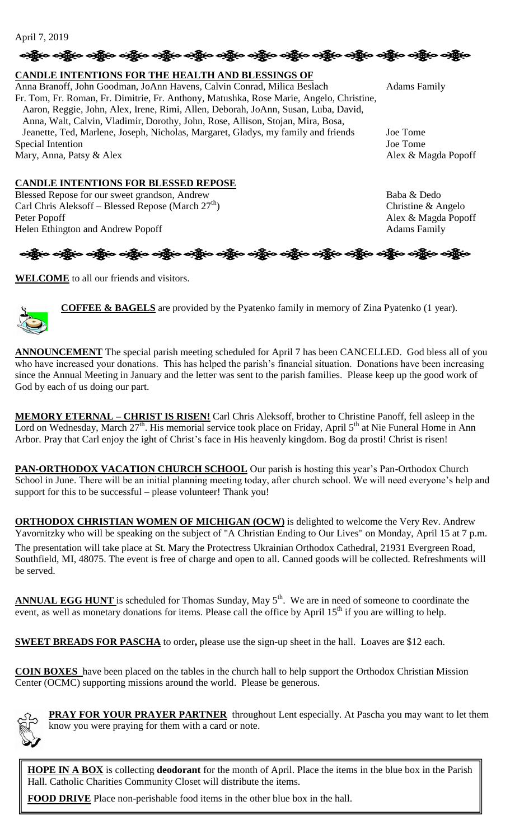# Yavornitzky who will be speaking on the subject of "A Christian Ending to Our Lives" on Monday, April 15 at 7 p.m.

The presentation will take place at St. Mary the Protectress Ukrainian Orthodox Cathedral, 21931 Evergreen Road, Southfield, MI, 48075. The event is free of charge and open to all. Canned goods will be collected. Refreshments will be served.

**ORTHODOX CHRISTIAN WOMEN OF MICHIGAN (OCW)** is delighted to welcome the Very Rev. Andrew

**ANNUAL EGG HUNT** is scheduled for Thomas Sunday, May  $5<sup>th</sup>$ . We are in need of someone to coordinate the event, as well as monetary donations for items. Please call the office by April  $15<sup>th</sup>$  if you are willing to help.

**SWEET BREADS FOR PASCHA** to order**,** please use the sign-up sheet in the hall. Loaves are \$12 each.

**COIN BOXES** have been placed on the tables in the church hall to help support the Orthodox Christian Mission Center (OCMC) supporting missions around the world. Please be generous.



**PRAY FOR YOUR PRAYER PARTNER** throughout Lent especially. At Pascha you may want to let them know you were praying for them with a card or note.

**HOPE IN A BOX** is collecting **deodorant** for the month of April. Place the items in the blue box in the Parish Hall. Catholic Charities Community Closet will distribute the items.

**FOOD DRIVE** Place non-perishable food items in the other blue box in the hall.

**CANDLE INTENTIONS FOR BLESSED REPOSE**

Blessed Repose for our sweet grandson, Andrew Baba & Dedo Carl Chris Aleksoff – Blessed Repose (March  $27<sup>th</sup>$ ) Christine & Angelo Peter Popoff Alex & Magda Popoff Helen Ethington and Andrew Popoff **Adams** Family

મક્ષૂત અક્ષૂત અક્ષૂત અક્ષુત અક્ષુત અક્ષુત અક્ષુત અક્ષુત અક્ષુત અનિવાસ અક્ષુત અક્ષુત અક્ષુત અક્ષ

**WELCOME** to all our friends and visitors.

**COFFEE & BAGELS** are provided by the Pyatenko family in memory of Zina Pyatenko (1 year).

**ANNOUNCEMENT** The special parish meeting scheduled for April 7 has been CANCELLED. God bless all of you who have increased your donations. This has helped the parish's financial situation. Donations have been increasing since the Annual Meeting in January and the letter was sent to the parish families. Please keep up the good work of God by each of us doing our part.

**MEMORY ETERNAL – CHRIST IS RISEN!** Carl Chris Aleksoff, brother to Christine Panoff, fell asleep in the Lord on Wednesday, March 27<sup>th</sup>. His memorial service took place on Friday, April 5<sup>th</sup> at Nie Funeral Home in Ann Arbor. Pray that Carl enjoy the ight of Christ's face in His heavenly kingdom. Bog da prosti! Christ is risen!

**PAN-ORTHODOX VACATION CHURCH SCHOOL** Our parish is hosting this year's Pan-Orthodox Church School in June. There will be an initial planning meeting today, after church school. We will need everyone's help and support for this to be successful – please volunteer! Thank you!

**CANDLE INTENTIONS FOR THE HEALTH AND BLESSINGS OF** 

Anna Branoff, John Goodman, JoAnn Havens, Calvin Conrad, Milica Beslach Adams Family Fr. Tom, Fr. Roman, Fr. Dimitrie, Fr. Anthony, Matushka, Rose Marie, Angelo, Christine, Aaron, Reggie, John, Alex, Irene, Rimi, Allen, Deborah, JoAnn, Susan, Luba, David, Anna, Walt, Calvin, Vladimir, Dorothy, John, Rose, Allison, Stojan, Mira, Bosa, Jeanette, Ted, Marlene, Joseph, Nicholas, Margaret, Gladys, my family and friends Joe Tome Special Intention Joe Tome Mary, Anna, Patsy & Alex **Alex** Alex **Alex Alex Alex Alex & Magda Popoff** 

ဆို့ပြီးဝ သန္တို့လ သန္တြို့လ သန္တြို့လ သန္တြို့လ သန္တြဲလ သန္တြဲလ သန္တြဲလ သန္တြဲလ သန္တြဲလ သန္တြဲလ သန္တို့လ

April 7, 2019